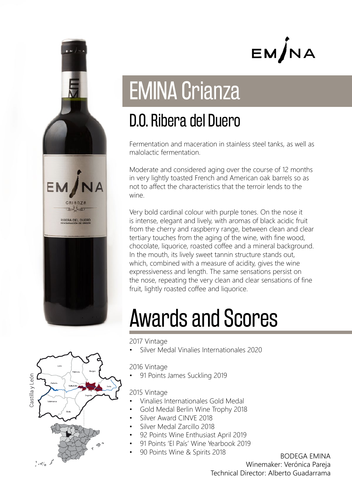

EM/NA

# EMINA Crianza

### D.O. Ribera del Duero

Fermentation and maceration in stainless steel tanks, as well as malolactic fermentation.

Moderate and considered aging over the course of 12 months in very lightly toasted French and American oak barrels so as not to affect the characteristics that the terroir lends to the wine.

Very bold cardinal colour with purple tones. On the nose it is intense, elegant and lively, with aromas of black acidic fruit from the cherry and raspberry range, between clean and clear tertiary touches from the aging of the wine, with fine wood, chocolate, liquorice, roasted coffee and a mineral background. In the mouth, its lively sweet tannin structure stands out, which, combined with a measure of acidity, gives the wine expressiveness and length. The same sensations persist on the nose, repeating the very clean and clear sensations of fine fruit, lightly roasted coffee and liquorice.

# Awards and Scores

2017 Vintage

• Silver Medal Vinalies Internationales 2020

2016 Vintage

• 91 Points James Suckling 2019

### 2015 Vintage

- Vinalies Internationales Gold Medal
- Gold Medal Berlin Wine Trophy 2018
- Silver Award CINVE 2018
- Silver Medal Zarcillo 2018
- 92 Points Wine Enthusiast April 2019
- 91 Points 'El País' Wine Yearbook 2019
- 90 Points Wine & Spirits 2018 BODEGA EMINA

Winemaker: Verónica Pareja Technical Director: Alberto Guadarrama